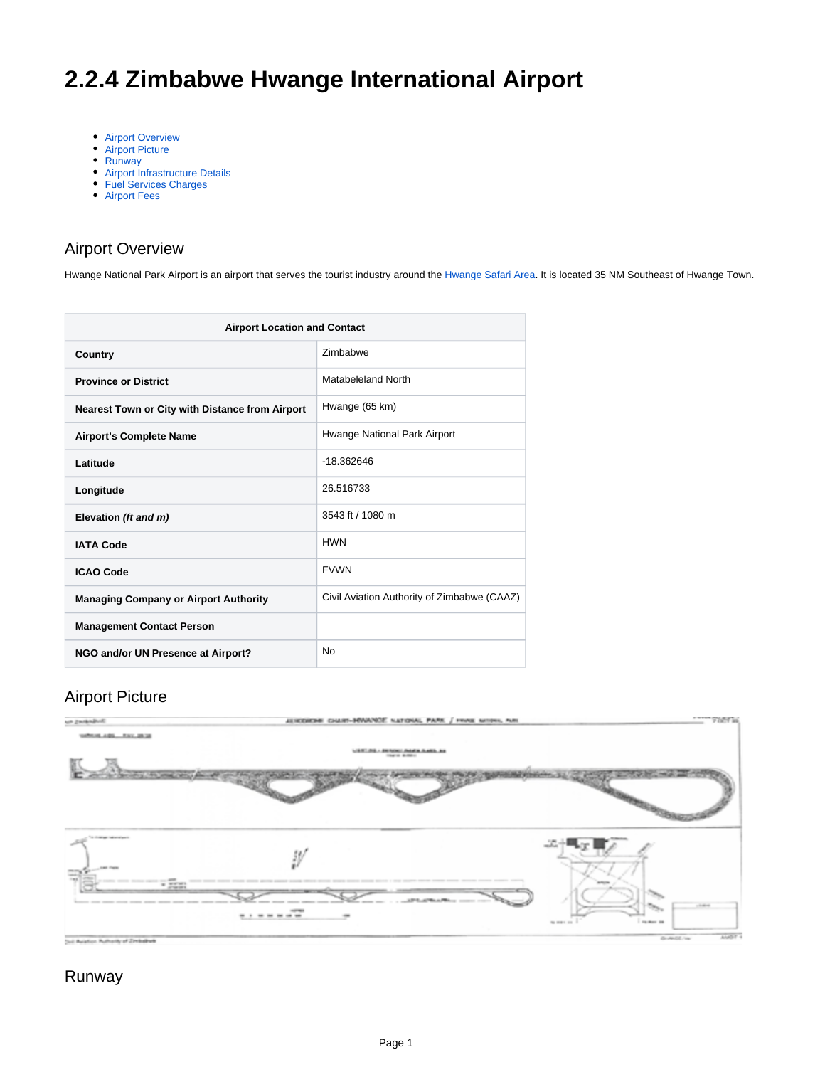# <span id="page-0-0"></span>**2.2.4 Zimbabwe Hwange International Airport**

- [Airport Overview](#page-0-0)
- [Airport Picture](#page-0-1)
- [Runway](#page-0-2)
- [Airport Infrastructure Details](#page-1-0)
- [Fuel Services Charges](#page-1-1)
- [Airport Fees](#page-1-2)

### Airport Overview

Hwange National Park Airport is an airport that serves the tourist industry around the [Hwange Safari Area](https://en.wikipedia.org/wiki/Hwange_National_Park). It is located 35 NM Southeast of Hwange Town.

| <b>Airport Location and Contact</b>             |                                             |  |
|-------------------------------------------------|---------------------------------------------|--|
| Country                                         | <b>Zimbabwe</b>                             |  |
| <b>Province or District</b>                     | Matabeleland North                          |  |
| Nearest Town or City with Distance from Airport | Hwange (65 km)                              |  |
| <b>Airport's Complete Name</b>                  | Hwange National Park Airport                |  |
| Latitude                                        | $-18.362646$                                |  |
| Longitude                                       | 26.516733                                   |  |
| Elevation (ft and m)                            | 3543 ft / 1080 m                            |  |
| <b>IATA Code</b>                                | <b>HWN</b>                                  |  |
| <b>ICAO Code</b>                                | <b>FVWN</b>                                 |  |
| <b>Managing Company or Airport Authority</b>    | Civil Aviation Authority of Zimbabwe (CAAZ) |  |
| <b>Management Contact Person</b>                |                                             |  |
| NGO and/or UN Presence at Airport?              | No                                          |  |

#### Airport Picture

<span id="page-0-1"></span>

#### <span id="page-0-2"></span>Runway